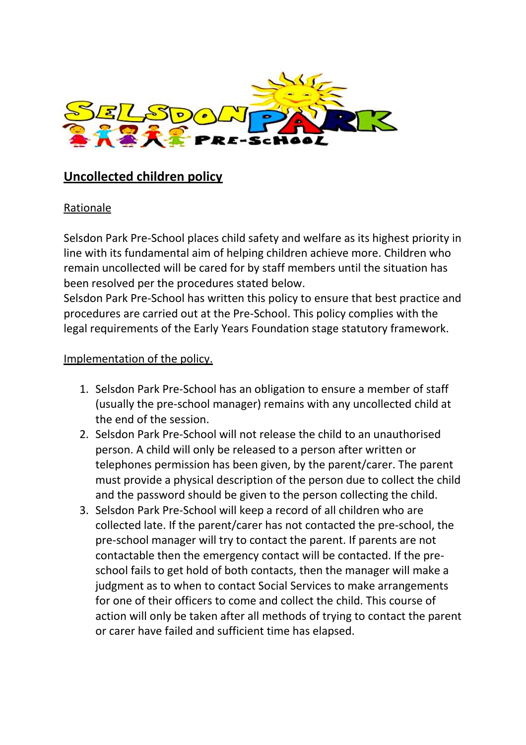

## **Uncollected children policy**

## Rationale

Selsdon Park Pre-School places child safety and welfare as its highest priority in line with its fundamental aim of helping children achieve more. Children who remain uncollected will be cared for by staff members until the situation has been resolved per the procedures stated below.

Selsdon Park Pre-School has written this policy to ensure that best practice and procedures are carried out at the Pre-School. This policy complies with the legal requirements of the Early Years Foundation stage statutory framework.

## Implementation of the policy.

- 1. Selsdon Park Pre-School has an obligation to ensure a member of staff (usually the pre-school manager) remains with any uncollected child at the end of the session.
- 2. Selsdon Park Pre-School will not release the child to an unauthorised person. A child will only be released to a person after written or telephones permission has been given, by the parent/carer. The parent must provide a physical description of the person due to collect the child and the password should be given to the person collecting the child.
- 3. Selsdon Park Pre-School will keep a record of all children who are collected late. If the parent/carer has not contacted the pre-school, the pre-school manager will try to contact the parent. If parents are not contactable then the emergency contact will be contacted. If the preschool fails to get hold of both contacts, then the manager will make a judgment as to when to contact Social Services to make arrangements for one of their officers to come and collect the child. This course of action will only be taken after all methods of trying to contact the parent or carer have failed and sufficient time has elapsed.